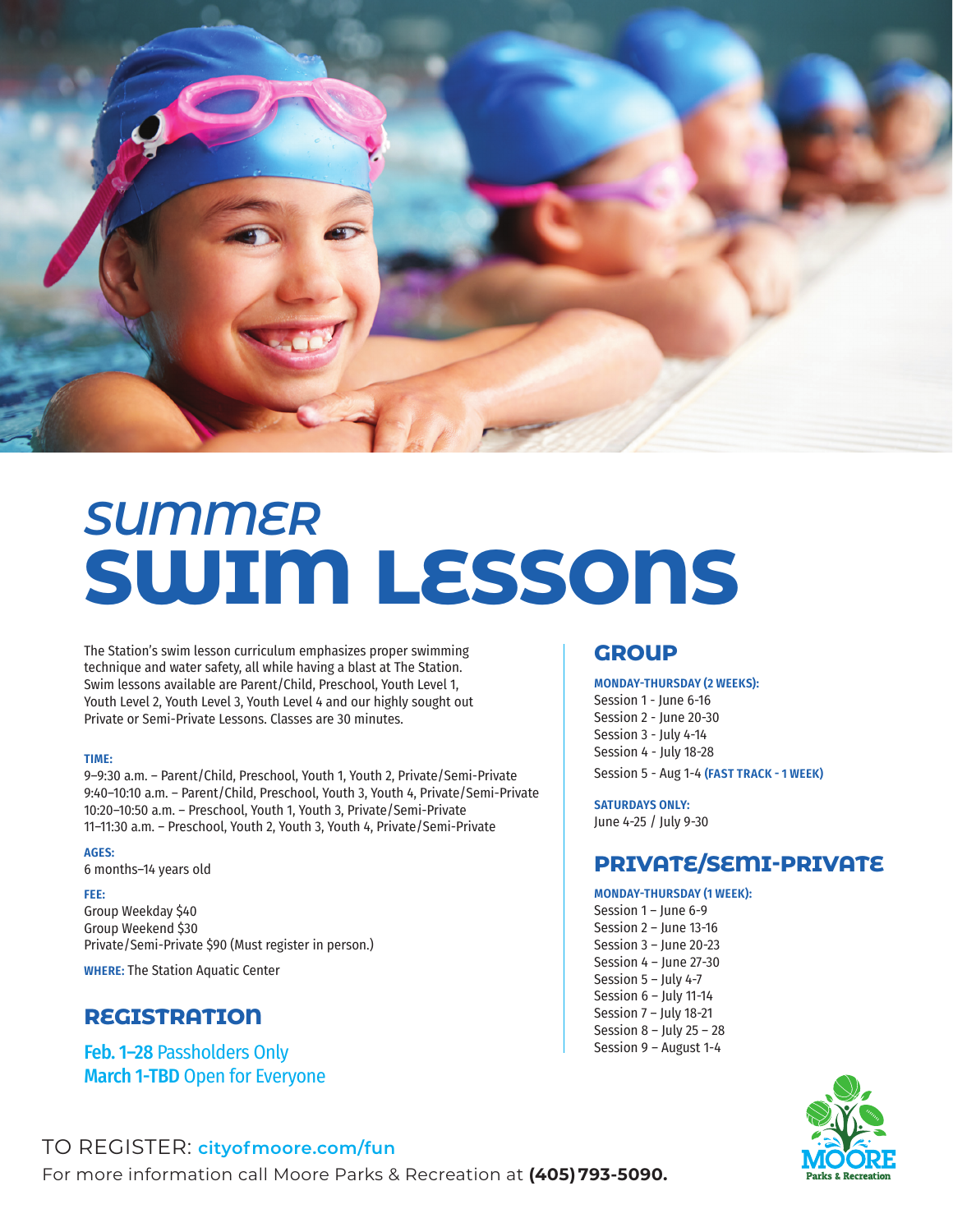

# *SUMMER*  **SWIM LESSONS**

The Station's swim lesson curriculum emphasizes proper swimming technique and water safety, all while having a blast at The Station. Swim lessons available are Parent/Child, Preschool, Youth Level 1, Youth Level 2, Youth Level 3, Youth Level 4 and our highly sought out Private or Semi-Private Lessons. Classes are 30 minutes.

#### **TIME:**

9–9:30 a.m. – Parent/Child, Preschool, Youth 1, Youth 2, Private/Semi-Private 9:40–10:10 a.m. – Parent/Child, Preschool, Youth 3, Youth 4, Private/Semi-Private 10:20–10:50 a.m. – Preschool, Youth 1, Youth 3, Private/Semi-Private 11–11:30 a.m. – Preschool, Youth 2, Youth 3, Youth 4, Private/Semi-Private

#### **AGES:**

6 months–14 years old

#### **FEE:**

Group Weekday \$40 Group Weekend \$30 Private/Semi-Private \$90 (Must register in person.)

**WHERE:** The Station Aquatic Center

## **REGISTRATION**

Feb. 1–28 Passholders Only March 1-TBD Open for Everyone

#### **GROUP**

#### **MONDAY-THURSDAY (2 WEEKS):**

Session 1 - June 6-16 Session 2 - June 20-30 Session 3 - July 4-14 Session 4 - July 18-28 Session 5 - Aug 1-4 **(FAST TRACK - 1 WEEK)**

**SATURDAYS ONLY:** June 4-25 / July 9-30

## **PRIVATE/SEMI-PRIVATE**

#### **MONDAY-THURSDAY (1 WEEK):**

Session 1 – June 6-9 Session 2 – June 13-16 Session 3 – June 20-23 Session 4 – June 27-30 Session 5 – July 4-7 Session 6 – July 11-14 Session 7 – July 18-21 Session 8 – July 25 – 28 Session 9 – August 1-4



### TO REGISTER: **cityofmoore.com/fun**

For more information call Moore Parks & Recreation at **(405) 793-5090.**